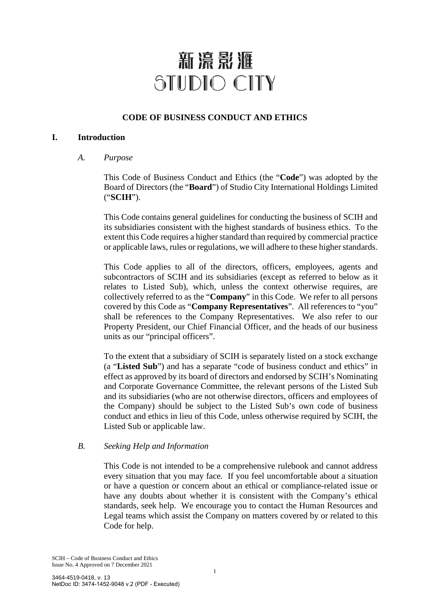# 新濠影滙 STUDIO CITY

## **CODE OF BUSINESS CONDUCT AND ETHICS**

## **I. Introduction**

*A. Purpose* 

This Code of Business Conduct and Ethics (the "**Code**") was adopted by the Board of Directors (the "**Board**") of Studio City International Holdings Limited ("**SCIH**").

This Code contains general guidelines for conducting the business of SCIH and its subsidiaries consistent with the highest standards of business ethics. To the extent this Code requires a higher standard than required by commercial practice or applicable laws, rules or regulations, we will adhere to these higher standards.

This Code applies to all of the directors, officers, employees, agents and subcontractors of SCIH and its subsidiaries (except as referred to below as it relates to Listed Sub), which, unless the context otherwise requires, are collectively referred to as the "**Company**" in this Code. We refer to all persons covered by this Code as "**Company Representatives**". All references to "you" shall be references to the Company Representatives. We also refer to our Property President, our Chief Financial Officer, and the heads of our business units as our "principal officers".

To the extent that a subsidiary of SCIH is separately listed on a stock exchange (a "**Listed Sub**") and has a separate "code of business conduct and ethics" in effect as approved by its board of directors and endorsed by SCIH's Nominating and Corporate Governance Committee, the relevant persons of the Listed Sub and its subsidiaries (who are not otherwise directors, officers and employees of the Company) should be subject to the Listed Sub's own code of business conduct and ethics in lieu of this Code, unless otherwise required by SCIH, the Listed Sub or applicable law.

## *B. Seeking Help and Information*

This Code is not intended to be a comprehensive rulebook and cannot address every situation that you may face. If you feel uncomfortable about a situation or have a question or concern about an ethical or compliance-related issue or have any doubts about whether it is consistent with the Company's ethical standards, seek help. We encourage you to contact the Human Resources and Legal teams which assist the Company on matters covered by or related to this Code for help.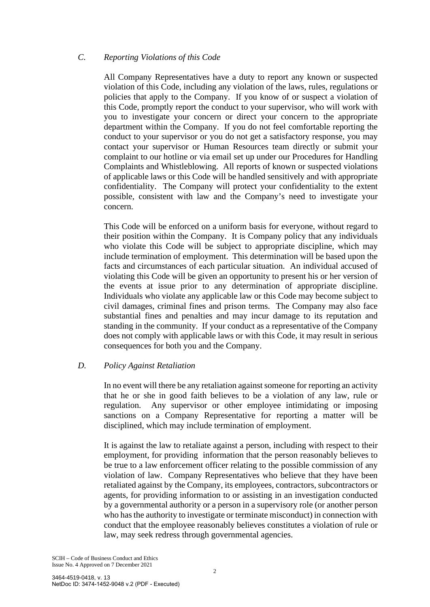## *C. Reporting Violations of this Code*

All Company Representatives have a duty to report any known or suspected violation of this Code, including any violation of the laws, rules, regulations or policies that apply to the Company. If you know of or suspect a violation of this Code, promptly report the conduct to your supervisor, who will work with you to investigate your concern or direct your concern to the appropriate department within the Company. If you do not feel comfortable reporting the conduct to your supervisor or you do not get a satisfactory response, you may contact your supervisor or Human Resources team directly or submit your complaint to our hotline or via email set up under our Procedures for Handling Complaints and Whistleblowing. All reports of known or suspected violations of applicable laws or this Code will be handled sensitively and with appropriate confidentiality. The Company will protect your confidentiality to the extent possible, consistent with law and the Company's need to investigate your concern.

This Code will be enforced on a uniform basis for everyone, without regard to their position within the Company.It is Company policy that any individuals who violate this Code will be subject to appropriate discipline, which may include termination of employment. This determination will be based upon the facts and circumstances of each particular situation. An individual accused of violating this Code will be given an opportunity to present his or her version of the events at issue prior to any determination of appropriate discipline. Individuals who violate any applicable law or this Code may become subject to civil damages, criminal fines and prison terms. The Company may also face substantial fines and penalties and may incur damage to its reputation and standing in the community. If your conduct as a representative of the Company does not comply with applicable laws or with this Code, it may result in serious consequences for both you and the Company.

#### *D. Policy Against Retaliation*

In no event will there be any retaliation against someone for reporting an activity that he or she in good faith believes to be a violation of any law, rule or regulation. Any supervisor or other employee intimidating or imposing sanctions on a Company Representative for reporting a matter will be disciplined, which may include termination of employment.

It is against the law to retaliate against a person, including with respect to their employment, for providing information that the person reasonably believes to be true to a law enforcement officer relating to the possible commission of any violation of law. Company Representatives who believe that they have been retaliated against by the Company, its employees, contractors, subcontractors or agents, for providing information to or assisting in an investigation conducted by a governmental authority or a person in a supervisory role (or another person who has the authority to investigate or terminate misconduct) in connection with conduct that the employee reasonably believes constitutes a violation of rule or law, may seek redress through governmental agencies.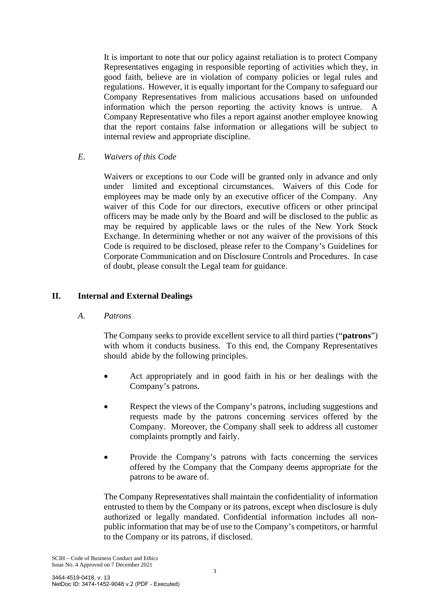It is important to note that our policy against retaliation is to protect Company Representatives engaging in responsible reporting of activities which they, in good faith, believe are in violation of company policies or legal rules and regulations. However, it is equally important for the Company to safeguard our Company Representatives from malicious accusations based on unfounded information which the person reporting the activity knows is untrue. A Company Representative who files a report against another employee knowing that the report contains false information or allegations will be subject to internal review and appropriate discipline.

*E. Waivers of this Code* 

Waivers or exceptions to our Code will be granted only in advance and only under limited and exceptional circumstances. Waivers of this Code for employees may be made only by an executive officer of the Company. Any waiver of this Code for our directors, executive officers or other principal officers may be made only by the Board and will be disclosed to the public as may be required by applicable laws or the rules of the New York Stock Exchange. In determining whether or not any waiver of the provisions of this Code is required to be disclosed, please refer to the Company's Guidelines for Corporate Communication and on Disclosure Controls and Procedures. In case of doubt, please consult the Legal team for guidance.

## **II. Internal and External Dealings**

*A. Patrons* 

The Company seeks to provide excellent service to all third parties ("**patrons**") with whom it conducts business. To this end, the Company Representatives should abide by the following principles.

- Act appropriately and in good faith in his or her dealings with the Company's patrons.
- Respect the views of the Company's patrons, including suggestions and requests made by the patrons concerning services offered by the Company. Moreover, the Company shall seek to address all customer complaints promptly and fairly.
- Provide the Company's patrons with facts concerning the services offered by the Company that the Company deems appropriate for the patrons to be aware of.

The Company Representatives shall maintain the confidentiality of information entrusted to them by the Company or its patrons, except when disclosure is duly authorized or legally mandated. Confidential information includes all nonpublic information that may be of use to the Company's competitors, or harmful to the Company or its patrons, if disclosed.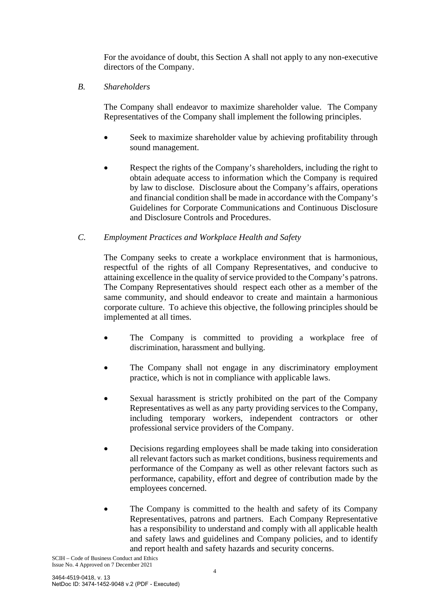For the avoidance of doubt, this Section A shall not apply to any non-executive directors of the Company.

*B. Shareholders* 

The Company shall endeavor to maximize shareholder value. The Company Representatives of the Company shall implement the following principles.

- Seek to maximize shareholder value by achieving profitability through sound management.
- Respect the rights of the Company's shareholders, including the right to obtain adequate access to information which the Company is required by law to disclose. Disclosure about the Company's affairs, operations and financial condition shall be made in accordance with the Company's Guidelines for Corporate Communications and Continuous Disclosure and Disclosure Controls and Procedures.
- *C. Employment Practices and Workplace Health and Safety*

The Company seeks to create a workplace environment that is harmonious, respectful of the rights of all Company Representatives, and conducive to attaining excellence in the quality of service provided to the Company's patrons. The Company Representatives should respect each other as a member of the same community, and should endeavor to create and maintain a harmonious corporate culture. To achieve this objective, the following principles should be implemented at all times.

- The Company is committed to providing a workplace free of discrimination, harassment and bullying.
- The Company shall not engage in any discriminatory employment practice, which is not in compliance with applicable laws.
- Sexual harassment is strictly prohibited on the part of the Company Representatives as well as any party providing services to the Company, including temporary workers, independent contractors or other professional service providers of the Company.
- Decisions regarding employees shall be made taking into consideration all relevant factors such as market conditions, business requirements and performance of the Company as well as other relevant factors such as performance, capability, effort and degree of contribution made by the employees concerned.
- The Company is committed to the health and safety of its Company Representatives, patrons and partners. Each Company Representative has a responsibility to understand and comply with all applicable health and safety laws and guidelines and Company policies, and to identify and report health and safety hazards and security concerns.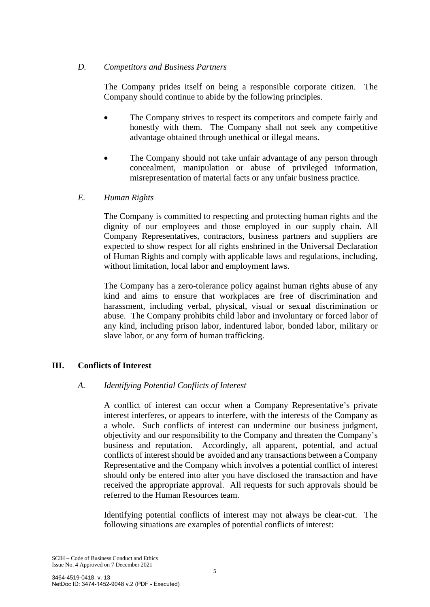## *D. Competitors and Business Partners*

The Company prides itself on being a responsible corporate citizen. The Company should continue to abide by the following principles.

- The Company strives to respect its competitors and compete fairly and honestly with them. The Company shall not seek any competitive advantage obtained through unethical or illegal means.
- The Company should not take unfair advantage of any person through concealment, manipulation or abuse of privileged information, misrepresentation of material facts or any unfair business practice.

## *E. Human Rights*

The Company is committed to respecting and protecting human rights and the dignity of our employees and those employed in our supply chain. All Company Representatives, contractors, business partners and suppliers are expected to show respect for all rights enshrined in the Universal Declaration of Human Rights and comply with applicable laws and regulations, including, without limitation, local labor and employment laws.

The Company has a zero-tolerance policy against human rights abuse of any kind and aims to ensure that workplaces are free of discrimination and harassment, including verbal, physical, visual or sexual discrimination or abuse. The Company prohibits child labor and involuntary or forced labor of any kind, including prison labor, indentured labor, bonded labor, military or slave labor, or any form of human trafficking.

## **III. Conflicts of Interest**

#### *A. Identifying Potential Conflicts of Interest*

A conflict of interest can occur when a Company Representative's private interest interferes, or appears to interfere, with the interests of the Company as a whole. Such conflicts of interest can undermine our business judgment, objectivity and our responsibility to the Company and threaten the Company's business and reputation. Accordingly, all apparent, potential, and actual conflicts of interest should be avoided and any transactions between a Company Representative and the Company which involves a potential conflict of interest should only be entered into after you have disclosed the transaction and have received the appropriate approval. All requests for such approvals should be referred to the Human Resources team.

Identifying potential conflicts of interest may not always be clear-cut. The following situations are examples of potential conflicts of interest: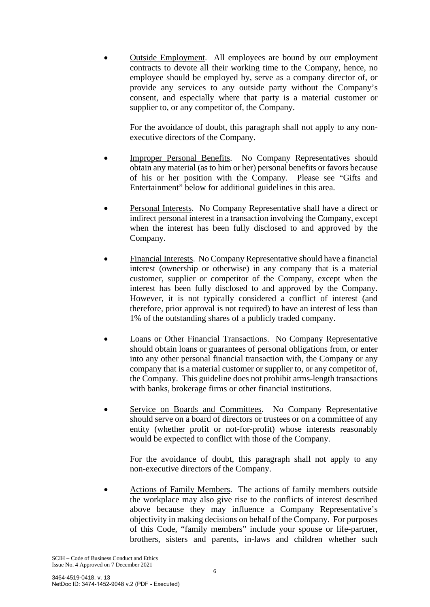• Outside Employment. All employees are bound by our employment contracts to devote all their working time to the Company, hence, no employee should be employed by, serve as a company director of, or provide any services to any outside party without the Company's consent, and especially where that party is a material customer or supplier to, or any competitor of, the Company.

For the avoidance of doubt, this paragraph shall not apply to any nonexecutive directors of the Company.

- Improper Personal Benefits. No Company Representatives should obtain any material (as to him or her) personal benefits or favors because of his or her position with the Company. Please see "Gifts and Entertainment" below for additional guidelines in this area.
- Personal Interests.No Company Representative shall have a direct or indirect personal interest in a transaction involving the Company, except when the interest has been fully disclosed to and approved by the Company.
- Financial Interests. No Company Representative should have a financial interest (ownership or otherwise) in any company that is a material customer, supplier or competitor of the Company, except when the interest has been fully disclosed to and approved by the Company. However, it is not typically considered a conflict of interest (and therefore, prior approval is not required) to have an interest of less than 1% of the outstanding shares of a publicly traded company.
- Loans or Other Financial Transactions. No Company Representative should obtain loans or guarantees of personal obligations from, or enter into any other personal financial transaction with, the Company or any company that is a material customer or supplier to, or any competitor of, the Company. This guideline does not prohibit arms-length transactions with banks, brokerage firms or other financial institutions.
- Service on Boards and Committees. No Company Representative should serve on a board of directors or trustees or on a committee of any entity (whether profit or not-for-profit) whose interests reasonably would be expected to conflict with those of the Company.

 For the avoidance of doubt, this paragraph shall not apply to any non-executive directors of the Company.

Actions of Family Members. The actions of family members outside the workplace may also give rise to the conflicts of interest described above because they may influence a Company Representative's objectivity in making decisions on behalf of the Company. For purposes of this Code, "family members" include your spouse or life-partner, brothers, sisters and parents, in-laws and children whether such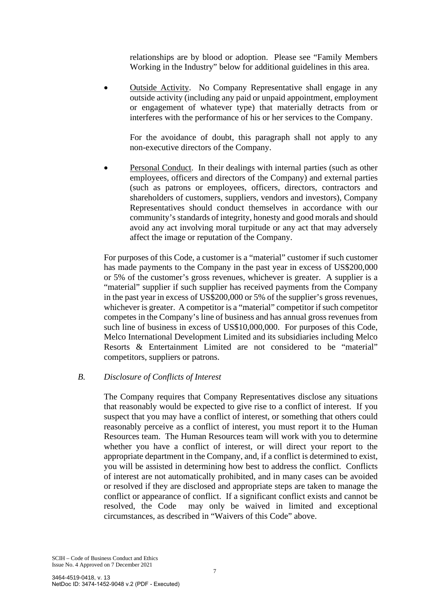relationships are by blood or adoption. Please see "Family Members Working in the Industry" below for additional guidelines in this area.

• Outside Activity. No Company Representative shall engage in any outside activity (including any paid or unpaid appointment, employment or engagement of whatever type) that materially detracts from or interferes with the performance of his or her services to the Company.

For the avoidance of doubt, this paragraph shall not apply to any non-executive directors of the Company.

Personal Conduct. In their dealings with internal parties (such as other employees, officers and directors of the Company) and external parties (such as patrons or employees, officers, directors, contractors and shareholders of customers, suppliers, vendors and investors), Company Representatives should conduct themselves in accordance with our community's standards of integrity, honesty and good morals and should avoid any act involving moral turpitude or any act that may adversely affect the image or reputation of the Company.

For purposes of this Code, a customer is a "material" customer if such customer has made payments to the Company in the past year in excess of US\$200,000 or 5% of the customer's gross revenues, whichever is greater. A supplier is a "material" supplier if such supplier has received payments from the Company in the past year in excess of US\$200,000 or 5% of the supplier's gross revenues, whichever is greater. A competitor is a "material" competitor if such competitor competes in the Company's line of business and has annual gross revenues from such line of business in excess of US\$10,000,000. For purposes of this Code, Melco International Development Limited and its subsidiaries including Melco Resorts & Entertainment Limited are not considered to be "material" competitors, suppliers or patrons.

#### *B. Disclosure of Conflicts of Interest*

The Company requires that Company Representatives disclose any situations that reasonably would be expected to give rise to a conflict of interest. If you suspect that you may have a conflict of interest, or something that others could reasonably perceive as a conflict of interest, you must report it to the Human Resources team. The Human Resources team will work with you to determine whether you have a conflict of interest, or will direct your report to the appropriate department in the Company, and, if a conflict is determined to exist, you will be assisted in determining how best to address the conflict. Conflicts of interest are not automatically prohibited, and in many cases can be avoided or resolved if they are disclosed and appropriate steps are taken to manage the conflict or appearance of conflict. If a significant conflict exists and cannot be resolved, the Code may only be waived in limited and exceptional circumstances, as described in "Waivers of this Code" above.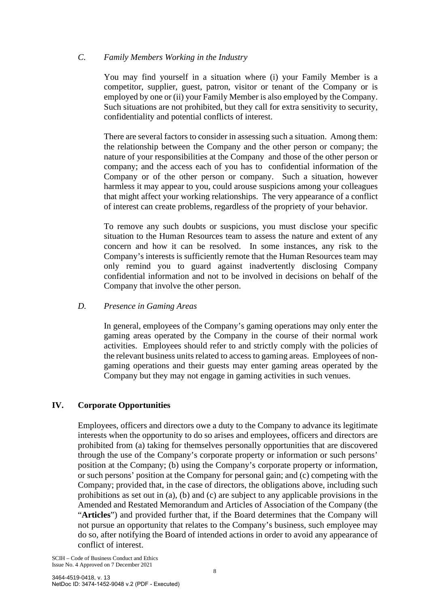## *C. Family Members Working in the Industry*

You may find yourself in a situation where (i) your Family Member is a competitor, supplier, guest, patron, visitor or tenant of the Company or is employed by one or (ii) your Family Member is also employed by the Company. Such situations are not prohibited, but they call for extra sensitivity to security, confidentiality and potential conflicts of interest.

There are several factors to consider in assessing such a situation. Among them: the relationship between the Company and the other person or company; the nature of your responsibilities at the Company and those of the other person or company; and the access each of you has to confidential information of the Company or of the other person or company. Such a situation, however harmless it may appear to you, could arouse suspicions among your colleagues that might affect your working relationships. The very appearance of a conflict of interest can create problems, regardless of the propriety of your behavior.

To remove any such doubts or suspicions, you must disclose your specific situation to the Human Resources team to assess the nature and extent of any concern and how it can be resolved. In some instances, any risk to the Company's interests is sufficiently remote that the Human Resources team may only remind you to guard against inadvertently disclosing Company confidential information and not to be involved in decisions on behalf of the Company that involve the other person.

## *D. Presence in Gaming Areas*

In general, employees of the Company's gaming operations may only enter the gaming areas operated by the Company in the course of their normal work activities. Employees should refer to and strictly comply with the policies of the relevant business units related to access to gaming areas. Employees of nongaming operations and their guests may enter gaming areas operated by the Company but they may not engage in gaming activities in such venues.

## **IV. Corporate Opportunities**

Employees, officers and directors owe a duty to the Company to advance its legitimate interests when the opportunity to do so arises and employees, officers and directors are prohibited from (a) taking for themselves personally opportunities that are discovered through the use of the Company's corporate property or information or such persons' position at the Company; (b) using the Company's corporate property or information, or such persons' position at the Company for personal gain; and (c) competing with the Company; provided that, in the case of directors, the obligations above, including such prohibitions as set out in (a), (b) and (c) are subject to any applicable provisions in the Amended and Restated Memorandum and Articles of Association of the Company (the "**Articles**") and provided further that, if the Board determines that the Company will not pursue an opportunity that relates to the Company's business, such employee may do so, after notifying the Board of intended actions in order to avoid any appearance of conflict of interest.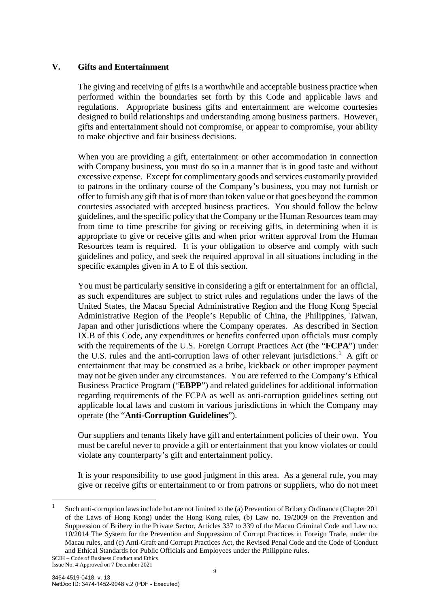## **V. Gifts and Entertainment**

The giving and receiving of gifts is a worthwhile and acceptable business practice when performed within the boundaries set forth by this Code and applicable laws and regulations. Appropriate business gifts and entertainment are welcome courtesies designed to build relationships and understanding among business partners. However, gifts and entertainment should not compromise, or appear to compromise, your ability to make objective and fair business decisions.

When you are providing a gift, entertainment or other accommodation in connection with Company business, you must do so in a manner that is in good taste and without excessive expense. Except for complimentary goods and services customarily provided to patrons in the ordinary course of the Company's business, you may not furnish or offer to furnish any gift that is of more than token value or that goes beyond the common courtesies associated with accepted business practices. You should follow the below guidelines, and the specific policy that the Company or the Human Resources team may from time to time prescribe for giving or receiving gifts, in determining when it is appropriate to give or receive gifts and when prior written approval from the Human Resources team is required. It is your obligation to observe and comply with such guidelines and policy, and seek the required approval in all situations including in the specific examples given in A to E of this section.

You must be particularly sensitive in considering a gift or entertainment for an official, as such expenditures are subject to strict rules and regulations under the laws of the United States, the Macau Special Administrative Region and the Hong Kong Special Administrative Region of the People's Republic of China, the Philippines, Taiwan, Japan and other jurisdictions where the Company operates. As described in Section IX.B of this Code, any expenditures or benefits conferred upon officials must comply with the requirements of the U.S. Foreign Corrupt Practices Act (the "**FCPA**") under the U.S. rules and the anti-corruption laws of other relevant jurisdictions.<sup>[1](#page-8-0)</sup> A gift or entertainment that may be construed as a bribe, kickback or other improper payment may not be given under any circumstances. You are referred to the Company's Ethical Business Practice Program ("**EBPP**") and related guidelines for additional information regarding requirements of the FCPA as well as anti-corruption guidelines setting out applicable local laws and custom in various jurisdictions in which the Company may operate (the "**Anti-Corruption Guidelines**").

Our suppliers and tenants likely have gift and entertainment policies of their own. You must be careful never to provide a gift or entertainment that you know violates or could violate any counterparty's gift and entertainment policy.

It is your responsibility to use good judgment in this area. As a general rule, you may give or receive gifts or entertainment to or from patrons or suppliers, who do not meet

<span id="page-8-0"></span><sup>&</sup>lt;sup>1</sup> Such anti-corruption laws include but are not limited to the (a) Prevention of Bribery Ordinance (Chapter 201 of the Laws of Hong Kong) under the Hong Kong rules, (b) Law no. 19/2009 on the Prevention and Suppression of Bribery in the Private Sector, Articles 337 to 339 of the Macau Criminal Code and Law no. 10/2014 The System for the Prevention and Suppression of Corrupt Practices in Foreign Trade, under the Macau rules, and (c) Anti-Graft and Corrupt Practices Act, the Revised Penal Code and the Code of Conduct and Ethical Standards for Public Officials and Employees under the Philippine rules.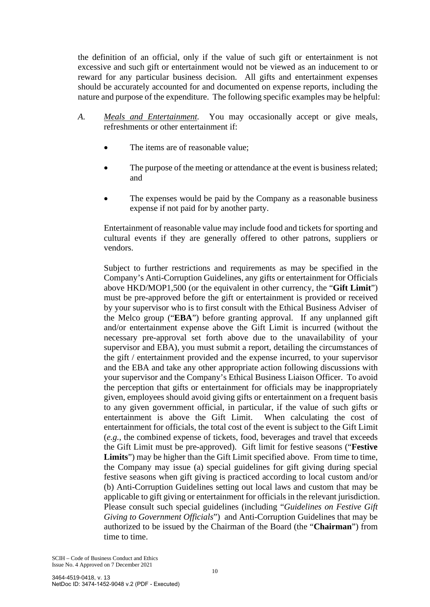the definition of an official, only if the value of such gift or entertainment is not excessive and such gift or entertainment would not be viewed as an inducement to or reward for any particular business decision. All gifts and entertainment expenses should be accurately accounted for and documented on expense reports, including the nature and purpose of the expenditure. The following specific examples may be helpful:

- *A. Meals and Entertainment.* You may occasionally accept or give meals, refreshments or other entertainment if:
	- The items are of reasonable value;
	- The purpose of the meeting or attendance at the event is business related; and
	- The expenses would be paid by the Company as a reasonable business expense if not paid for by another party.

Entertainment of reasonable value may include food and tickets for sporting and cultural events if they are generally offered to other patrons, suppliers or vendors.

Subject to further restrictions and requirements as may be specified in the Company's Anti-Corruption Guidelines, any gifts or entertainment for Officials above HKD/MOP1,500 (or the equivalent in other currency, the "**Gift Limit**") must be pre-approved before the gift or entertainment is provided or received by your supervisor who is to first consult with the Ethical Business Adviser of the Melco group ("**EBA**") before granting approval. If any unplanned gift and/or entertainment expense above the Gift Limit is incurred (without the necessary pre-approval set forth above due to the unavailability of your supervisor and EBA), you must submit a report, detailing the circumstances of the gift / entertainment provided and the expense incurred, to your supervisor and the EBA and take any other appropriate action following discussions with your supervisor and the Company's Ethical Business Liaison Officer. To avoid the perception that gifts or entertainment for officials may be inappropriately given, employees should avoid giving gifts or entertainment on a frequent basis to any given government official, in particular, if the value of such gifts or entertainment is above the Gift Limit. When calculating the cost of entertainment for officials, the total cost of the event is subject to the Gift Limit (*e.g.*, the combined expense of tickets, food, beverages and travel that exceeds the Gift Limit must be pre-approved). Gift limit for festive seasons ("**Festive**  Limits") may be higher than the Gift Limit specified above. From time to time, the Company may issue (a) special guidelines for gift giving during special festive seasons when gift giving is practiced according to local custom and/or (b) Anti-Corruption Guidelines setting out local laws and custom that may be applicable to gift giving or entertainment for officials in the relevant jurisdiction. Please consult such special guidelines (including "*Guidelines on Festive Gift Giving to Government Officials*") and Anti-Corruption Guidelines that may be authorized to be issued by the Chairman of the Board (the "**Chairman**") from time to time.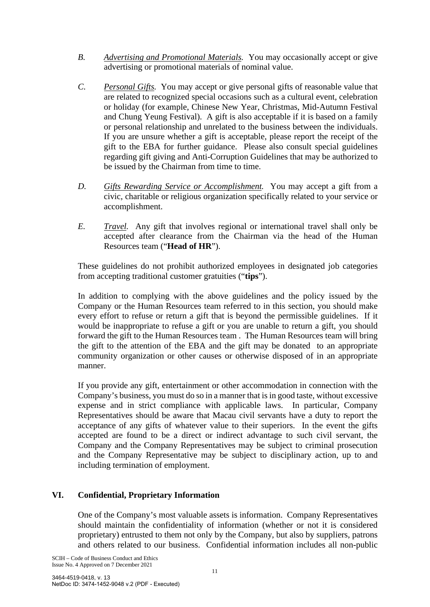- *B. Advertising and Promotional Materials.* You may occasionally accept or give advertising or promotional materials of nominal value.
- *C. Personal Gifts.* You may accept or give personal gifts of reasonable value that are related to recognized special occasions such as a cultural event, celebration or holiday (for example, Chinese New Year, Christmas, Mid-Autumn Festival and Chung Yeung Festival). A gift is also acceptable if it is based on a family or personal relationship and unrelated to the business between the individuals. If you are unsure whether a gift is acceptable, please report the receipt of the gift to the EBA for further guidance. Please also consult special guidelines regarding gift giving and Anti-Corruption Guidelines that may be authorized to be issued by the Chairman from time to time.
- *D. Gifts Rewarding Service or Accomplishment.* You may accept a gift from a civic, charitable or religious organization specifically related to your service or accomplishment.
- *E. Travel.* Any gift that involves regional or international travel shall only be accepted after clearance from the Chairman via the head of the Human Resources team ("**Head of HR**").

These guidelines do not prohibit authorized employees in designated job categories from accepting traditional customer gratuities ("**tips**").

In addition to complying with the above guidelines and the policy issued by the Company or the Human Resources team referred to in this section, you should make every effort to refuse or return a gift that is beyond the permissible guidelines. If it would be inappropriate to refuse a gift or you are unable to return a gift, you should forward the gift to the Human Resources team . The Human Resources team will bring the gift to the attention of the EBA and the gift may be donated to an appropriate community organization or other causes or otherwise disposed of in an appropriate manner.

If you provide any gift, entertainment or other accommodation in connection with the Company's business, you must do so in a manner that is in good taste, without excessive expense and in strict compliance with applicable laws. In particular, Company Representatives should be aware that Macau civil servants have a duty to report the acceptance of any gifts of whatever value to their superiors. In the event the gifts accepted are found to be a direct or indirect advantage to such civil servant, the Company and the Company Representatives may be subject to criminal prosecution and the Company Representative may be subject to disciplinary action, up to and including termination of employment.

## **VI. Confidential, Proprietary Information**

One of the Company's most valuable assets is information. Company Representatives should maintain the confidentiality of information (whether or not it is considered proprietary) entrusted to them not only by the Company, but also by suppliers, patrons and others related to our business. Confidential information includes all non-public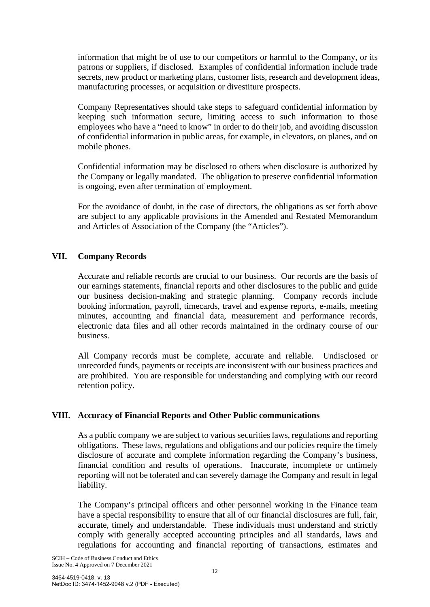information that might be of use to our competitors or harmful to the Company, or its patrons or suppliers, if disclosed. Examples of confidential information include trade secrets, new product or marketing plans, customer lists, research and development ideas, manufacturing processes, or acquisition or divestiture prospects.

Company Representatives should take steps to safeguard confidential information by keeping such information secure, limiting access to such information to those employees who have a "need to know" in order to do their job, and avoiding discussion of confidential information in public areas, for example, in elevators, on planes, and on mobile phones.

Confidential information may be disclosed to others when disclosure is authorized by the Company or legally mandated. The obligation to preserve confidential information is ongoing, even after termination of employment.

For the avoidance of doubt, in the case of directors, the obligations as set forth above are subject to any applicable provisions in the Amended and Restated Memorandum and Articles of Association of the Company (the "Articles").

## **VII. Company Records**

Accurate and reliable records are crucial to our business. Our records are the basis of our earnings statements, financial reports and other disclosures to the public and guide our business decision-making and strategic planning. Company records include booking information, payroll, timecards, travel and expense reports, e-mails, meeting minutes, accounting and financial data, measurement and performance records, electronic data files and all other records maintained in the ordinary course of our business.

All Company records must be complete, accurate and reliable. Undisclosed or unrecorded funds, payments or receipts are inconsistent with our business practices and are prohibited. You are responsible for understanding and complying with our record retention policy.

#### **VIII. Accuracy of Financial Reports and Other Public communications**

As a public company we are subject to various securities laws, regulations and reporting obligations. These laws, regulations and obligations and our policies require the timely disclosure of accurate and complete information regarding the Company's business, financial condition and results of operations. Inaccurate, incomplete or untimely reporting will not be tolerated and can severely damage the Company and result in legal liability.

The Company's principal officers and other personnel working in the Finance team have a special responsibility to ensure that all of our financial disclosures are full, fair, accurate, timely and understandable. These individuals must understand and strictly comply with generally accepted accounting principles and all standards, laws and regulations for accounting and financial reporting of transactions, estimates and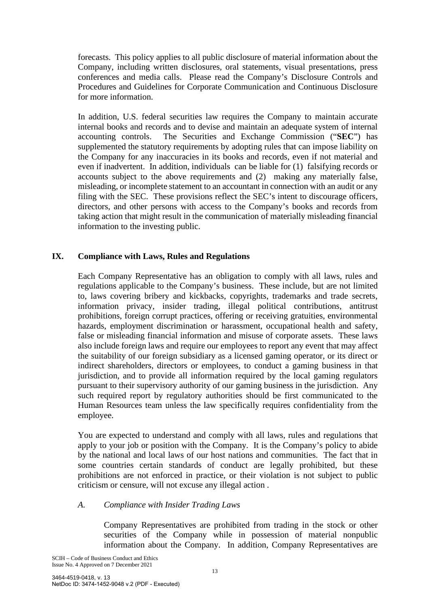forecasts. This policy applies to all public disclosure of material information about the Company, including written disclosures, oral statements, visual presentations, press conferences and media calls. Please read the Company's Disclosure Controls and Procedures and Guidelines for Corporate Communication and Continuous Disclosure for more information.

In addition, U.S. federal securities law requires the Company to maintain accurate internal books and records and to devise and maintain an adequate system of internal accounting controls. The Securities and Exchange Commission ("**SEC**") has supplemented the statutory requirements by adopting rules that can impose liability on the Company for any inaccuracies in its books and records, even if not material and even if inadvertent. In addition, individuals can be liable for (1) falsifying records or accounts subject to the above requirements and (2) making any materially false, misleading, or incomplete statement to an accountant in connection with an audit or any filing with the SEC. These provisions reflect the SEC's intent to discourage officers, directors, and other persons with access to the Company's books and records from taking action that might result in the communication of materially misleading financial information to the investing public.

## **IX. Compliance with Laws, Rules and Regulations**

Each Company Representative has an obligation to comply with all laws, rules and regulations applicable to the Company's business. These include, but are not limited to, laws covering bribery and kickbacks, copyrights, trademarks and trade secrets, information privacy, insider trading, illegal political contributions, antitrust prohibitions, foreign corrupt practices, offering or receiving gratuities, environmental hazards, employment discrimination or harassment, occupational health and safety, false or misleading financial information and misuse of corporate assets. These laws also include foreign laws and require our employees to report any event that may affect the suitability of our foreign subsidiary as a licensed gaming operator, or its direct or indirect shareholders, directors or employees, to conduct a gaming business in that jurisdiction, and to provide all information required by the local gaming regulators pursuant to their supervisory authority of our gaming business in the jurisdiction. Any such required report by regulatory authorities should be first communicated to the Human Resources team unless the law specifically requires confidentiality from the employee.

You are expected to understand and comply with all laws, rules and regulations that apply to your job or position with the Company. It is the Company's policy to abide by the national and local laws of our host nations and communities. The fact that in some countries certain standards of conduct are legally prohibited, but these prohibitions are not enforced in practice, or their violation is not subject to public criticism or censure, will not excuse any illegal action .

#### *A. Compliance with Insider Trading Laws*

Company Representatives are prohibited from trading in the stock or other securities of the Company while in possession of material nonpublic information about the Company. In addition, Company Representatives are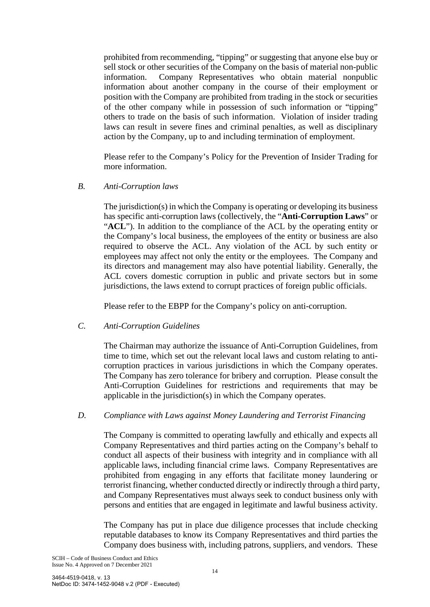prohibited from recommending, "tipping" or suggesting that anyone else buy or sell stock or other securities of the Company on the basis of material non-public information. Company Representatives who obtain material nonpublic information about another company in the course of their employment or position with the Company are prohibited from trading in the stock or securities of the other company while in possession of such information or "tipping" others to trade on the basis of such information. Violation of insider trading laws can result in severe fines and criminal penalties, as well as disciplinary action by the Company, up to and including termination of employment.

Please refer to the Company's Policy for the Prevention of Insider Trading for more information.

#### *B. Anti-Corruption laws*

The jurisdiction(s) in which the Company is operating or developing its business has specific anti-corruption laws (collectively, the "**Anti-Corruption Laws**" or "ACL"). In addition to the compliance of the ACL by the operating entity or the Company's local business, the employees of the entity or business are also required to observe the ACL. Any violation of the ACL by such entity or employees may affect not only the entity or the employees. The Company and its directors and management may also have potential liability. Generally, the ACL covers domestic corruption in public and private sectors but in some jurisdictions, the laws extend to corrupt practices of foreign public officials.

Please refer to the EBPP for the Company's policy on anti-corruption.

#### *C. Anti-Corruption Guidelines*

The Chairman may authorize the issuance of Anti-Corruption Guidelines, from time to time, which set out the relevant local laws and custom relating to anticorruption practices in various jurisdictions in which the Company operates. The Company has zero tolerance for bribery and corruption. Please consult the Anti-Corruption Guidelines for restrictions and requirements that may be applicable in the jurisdiction(s) in which the Company operates.

#### *D. Compliance with Laws against Money Laundering and Terrorist Financing*

The Company is committed to operating lawfully and ethically and expects all Company Representatives and third parties acting on the Company's behalf to conduct all aspects of their business with integrity and in compliance with all applicable laws, including financial crime laws. Company Representatives are prohibited from engaging in any efforts that facilitate money laundering or terrorist financing, whether conducted directly or indirectly through a third party, and Company Representatives must always seek to conduct business only with persons and entities that are engaged in legitimate and lawful business activity.

The Company has put in place due diligence processes that include checking reputable databases to know its Company Representatives and third parties the Company does business with, including patrons, suppliers, and vendors. These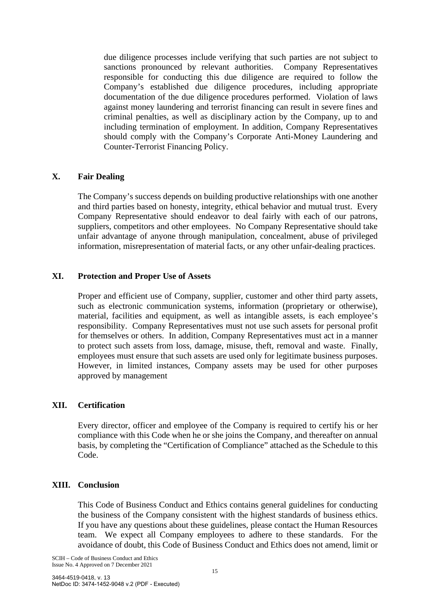due diligence processes include verifying that such parties are not subject to sanctions pronounced by relevant authorities. Company Representatives responsible for conducting this due diligence are required to follow the Company's established due diligence procedures, including appropriate documentation of the due diligence procedures performed. Violation of laws against money laundering and terrorist financing can result in severe fines and criminal penalties, as well as disciplinary action by the Company, up to and including termination of employment. In addition, Company Representatives should comply with the Company's Corporate Anti-Money Laundering and Counter-Terrorist Financing Policy.

#### **X. Fair Dealing**

The Company's success depends on building productive relationships with one another and third parties based on honesty, integrity, ethical behavior and mutual trust. Every Company Representative should endeavor to deal fairly with each of our patrons, suppliers, competitors and other employees. No Company Representative should take unfair advantage of anyone through manipulation, concealment, abuse of privileged information, misrepresentation of material facts, or any other unfair-dealing practices.

## **XI. Protection and Proper Use of Assets**

Proper and efficient use of Company, supplier, customer and other third party assets, such as electronic communication systems, information (proprietary or otherwise), material, facilities and equipment, as well as intangible assets, is each employee's responsibility. Company Representatives must not use such assets for personal profit for themselves or others. In addition, Company Representatives must act in a manner to protect such assets from loss, damage, misuse, theft, removal and waste. Finally, employees must ensure that such assets are used only for legitimate business purposes. However, in limited instances, Company assets may be used for other purposes approved by management

#### **XII. Certification**

Every director, officer and employee of the Company is required to certify his or her compliance with this Code when he or she joins the Company, and thereafter on annual basis, by completing the "Certification of Compliance" attached as the Schedule to this Code.

## **XIII. Conclusion**

This Code of Business Conduct and Ethics contains general guidelines for conducting the business of the Company consistent with the highest standards of business ethics. If you have any questions about these guidelines, please contact the Human Resources team. We expect all Company employees to adhere to these standards. For the avoidance of doubt, this Code of Business Conduct and Ethics does not amend, limit or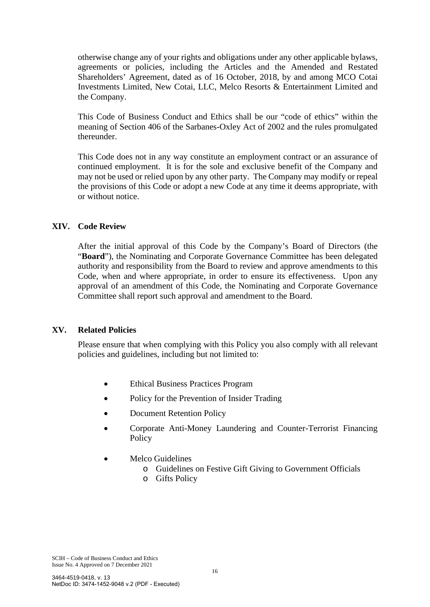otherwise change any of your rights and obligations under any other applicable bylaws, agreements or policies, including the Articles and the Amended and Restated Shareholders' Agreement, dated as of 16 October, 2018, by and among MCO Cotai Investments Limited, New Cotai, LLC, Melco Resorts & Entertainment Limited and the Company.

This Code of Business Conduct and Ethics shall be our "code of ethics" within the meaning of Section 406 of the Sarbanes-Oxley Act of 2002 and the rules promulgated thereunder.

This Code does not in any way constitute an employment contract or an assurance of continued employment. It is for the sole and exclusive benefit of the Company and may not be used or relied upon by any other party. The Company may modify or repeal the provisions of this Code or adopt a new Code at any time it deems appropriate, with or without notice.

## **XIV. Code Review**

After the initial approval of this Code by the Company's Board of Directors (the "**Board**"), the Nominating and Corporate Governance Committee has been delegated authority and responsibility from the Board to review and approve amendments to this Code, when and where appropriate, in order to ensure its effectiveness. Upon any approval of an amendment of this Code, the Nominating and Corporate Governance Committee shall report such approval and amendment to the Board.

#### **XV. Related Policies**

Please ensure that when complying with this Policy you also comply with all relevant policies and guidelines, including but not limited to:

- Ethical Business Practices Program
- Policy for the Prevention of Insider Trading
- Document Retention Policy
- Corporate Anti-Money Laundering and Counter-Terrorist Financing Policy
- Melco Guidelines
	- o Guidelines on Festive Gift Giving to Government Officials
	- o Gifts Policy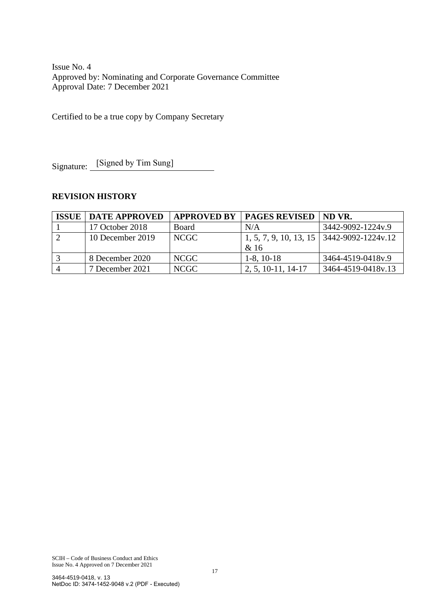Issue No. 4 Approved by: Nominating and Corporate Governance Committee Approval Date: 7 December 2021

Certified to be a true copy by Company Secretary

Signature: [Signed by Tim Sung]

## **REVISION HISTORY**

| <b>ISSUE</b> | <b>DATE APPROVED</b> | <b>APPROVED BY</b> | <b>PAGES REVISED</b> | ND VR.                                      |
|--------------|----------------------|--------------------|----------------------|---------------------------------------------|
|              | 17 October 2018      | Board              | N/A                  | 3442-9092-1224y.9                           |
|              | 10 December 2019     | NCGC <sub>1</sub>  | & 16                 | 1, 5, 7, 9, 10, 13, 15   3442-9092-1224v.12 |
|              | 8 December 2020      | <b>NCGC</b>        | $1-8$ , 10 $-18$     | 3464-4519-0418v.9                           |
|              | 7 December 2021      | NCGC               | $2, 5, 10-11, 14-17$ | 3464-4519-0418v.13                          |